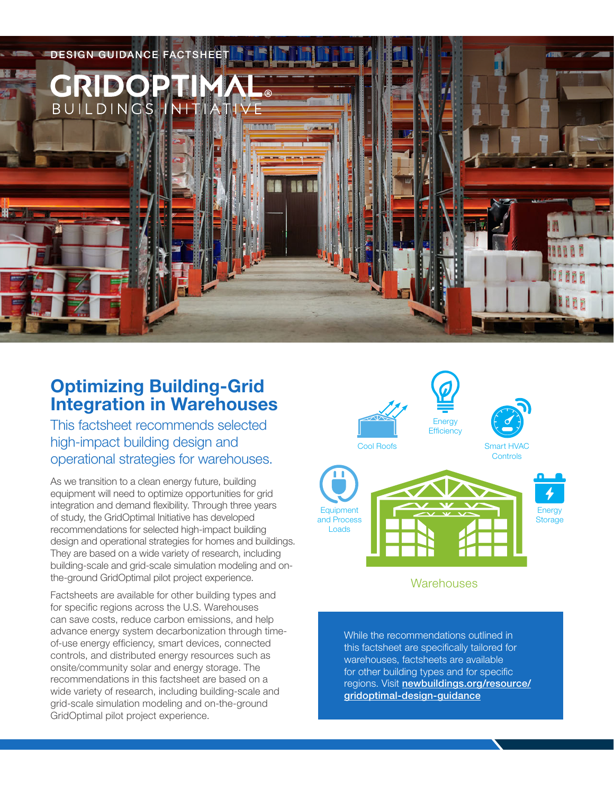

# **Optimizing Building-Grid Integration in Warehouses**

This factsheet recommends selected high-impact building design and operational strategies for warehouses.

As we transition to a clean energy future, building equipment will need to optimize opportunities for grid integration and demand flexibility. Through three years of study, the GridOptimal Initiative has developed recommendations for selected high-impact building design and operational strategies for homes and buildings. They are based on a wide variety of research, including building-scale and grid-scale simulation modeling and onthe-ground GridOptimal pilot project experience.

Factsheets are available for other building types and for specific regions across the U.S. Warehouses can save costs, reduce carbon emissions, and help advance energy system decarbonization through timeof-use energy efficiency, smart devices, connected controls, and distributed energy resources such as onsite/community solar and energy storage. The recommendations in this factsheet are based on a wide variety of research, including building-scale and grid-scale simulation modeling and on-the-ground GridOptimal pilot project experience.



### **Warehouses**

While the recommendations outlined in this factsheet are specifically tailored for warehouses, factsheets are available for other building types and for specific regions. Visit [newbuildings.org/resource/](https://newbuildings.org/resource/gridoptimal-design-guidance) [gridoptimal-design-guidance](https://newbuildings.org/resource/gridoptimal-design-guidance)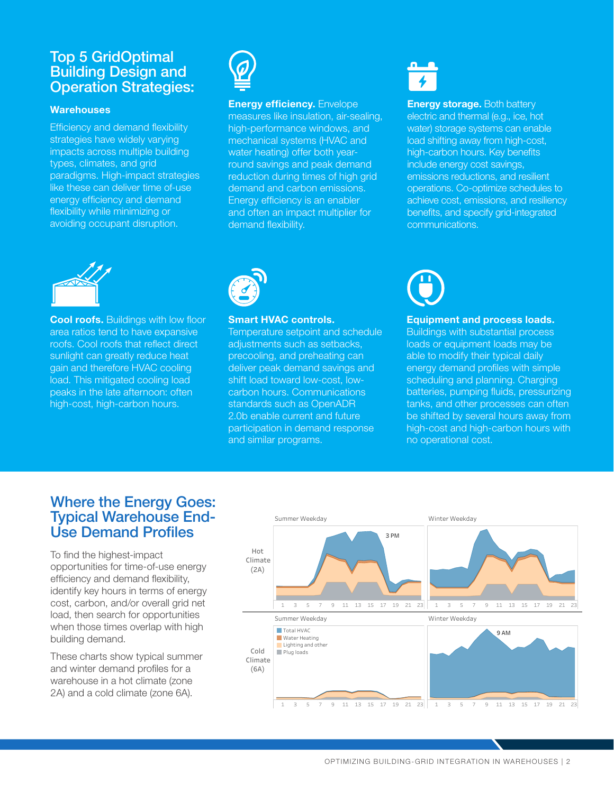## Top 5 GridOptimal Building Design and Operation Strategies:

#### **Warehouses**

Efficiency and demand flexibility strategies have widely varying impacts across multiple building types, climates, and grid paradigms. High-impact strategies like these can deliver time of-use energy efficiency and demand flexibility while minimizing or avoiding occupant disruption.



#### **Energy efficiency.** Envelope measures like insulation, air-sealing, high-performance windows, and mechanical systems (HVAC and water heating) offer both yearround savings and peak demand reduction during times of high grid demand and carbon emissions. Energy efficiency is an enabler and often an impact multiplier for demand flexibility.

**Energy storage.** Both battery electric and thermal (e.g., ice, hot water) storage systems can enable load shifting away from high-cost, high-carbon hours. Key benefits include energy cost savings, emissions reductions, and resilient operations. Co-optimize schedules to achieve cost, emissions, and resiliency benefits, and specify grid-integrated communications.



**Cool roofs.** Buildings with low floor area ratios tend to have expansive roofs. Cool roofs that reflect direct sunlight can greatly reduce heat gain and therefore HVAC cooling load. This mitigated cooling load peaks in the late afternoon: often high-cost, high-carbon hours.



#### **Smart HVAC controls.**

Temperature setpoint and schedule adjustments such as setbacks, precooling, and preheating can deliver peak demand savings and shift load toward low-cost, lowcarbon hours. Communications standards such as OpenADR 2.0b enable current and future participation in demand response and similar programs.



#### **Equipment and process loads.**

Buildings with substantial process loads or equipment loads may be able to modify their typical daily energy demand profiles with simple scheduling and planning. Charging batteries, pumping fluids, pressurizing tanks, and other processes can often be shifted by several hours away from high-cost and high-carbon hours with no operational cost.

## Where the Energy Goes: Typical Warehouse End-Use Demand Profiles

To find the highest-impact opportunities for time-of-use energy efficiency and demand flexibility, identify key hours in terms of energy cost, carbon, and/or overall grid net load, then search for opportunities when those times overlap with high building demand.

These charts show typical summer and winter demand profiles for a warehouse in a hot climate (zone 2A) and a cold climate (zone 6A).

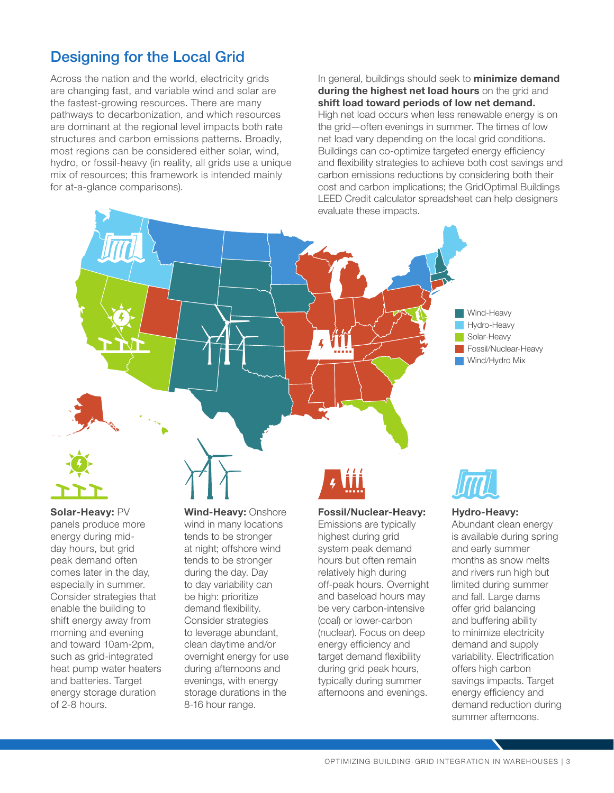# Designing for the Local Grid

Across the nation and the world, electricity grids are changing fast, and variable wind and solar are the fastest-growing resources. There are many pathways to decarbonization, and which resources are dominant at the regional level impacts both rate structures and carbon emissions patterns. Broadly, most regions can be considered either solar, wind, hydro, or fossil-heavy (in reality, all grids use a unique mix of resources; this framework is intended mainly for at-a-glance comparisons).

In general, buildings should seek to **minimize demand during the highest net load hours** on the grid and **shift load toward periods of low net demand.** High net load occurs when less renewable energy is on the grid—often evenings in summer. The times of low net load vary depending on the local grid conditions. Buildings can co-optimize targeted energy efficiency and flexibility strategies to achieve both cost savings and carbon emissions reductions by considering both their cost and carbon implications; the GridOptimal Buildings LEED Credit calculator spreadsheet can help designers evaluate these impacts.





**Solar-Heavy:** PV panels produce more energy during midday hours, but grid peak demand often comes later in the day, especially in summer. Consider strategies that enable the building to shift energy away from morning and evening and toward 10am-2pm, such as grid-integrated heat pump water heaters and batteries. Target energy storage duration of 2-8 hours.

**Wind-Heavy:** Onshore wind in many locations tends to be stronger at night; offshore wind tends to be stronger during the day. Day to day variability can be high: prioritize demand flexibility. Consider strategies to leverage abundant, clean daytime and/or overnight energy for use during afternoons and evenings, with energy storage durations in the 8-16 hour range.

#### **Fossil/Nuclear-Heavy:**

Emissions are typically highest during grid system peak demand hours but often remain relatively high during off-peak hours. Overnight and baseload hours may be very carbon-intensive (coal) or lower-carbon (nuclear). Focus on deep energy efficiency and target demand flexibility during grid peak hours, typically during summer afternoons and evenings.



#### **Hydro-Heavy:**

Abundant clean energy is available during spring and early summer months as snow melts and rivers run high but limited during summer and fall. Large dams offer grid balancing and buffering ability to minimize electricity demand and supply variability. Electrification offers high carbon savings impacts. Target energy efficiency and demand reduction during summer afternoons.